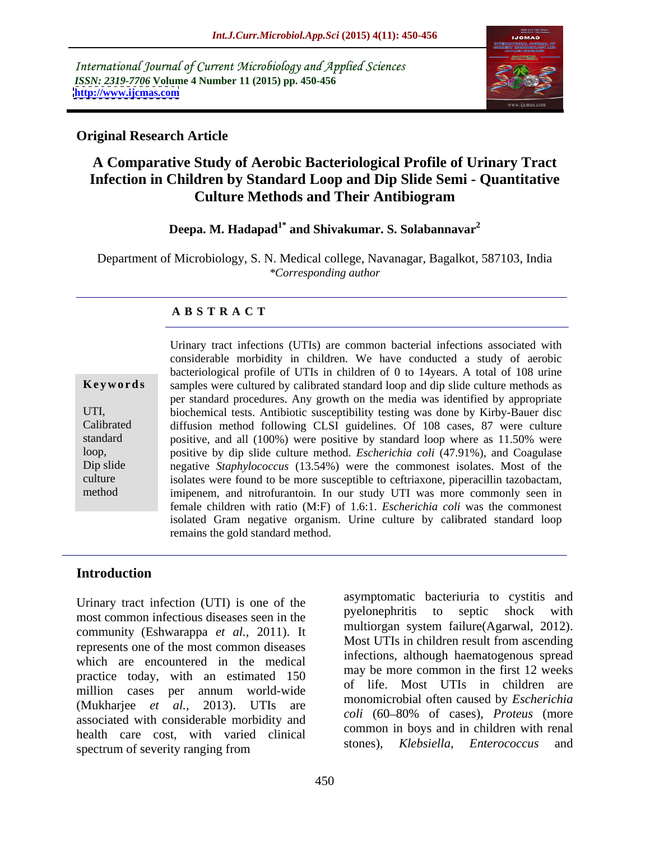International Journal of Current Microbiology and Applied Sciences *ISSN: 2319-7706* **Volume 4 Number 11 (2015) pp. 450-456 <http://www.ijcmas.com>**



### **Original Research Article**

# **A Comparative Study of Aerobic Bacteriological Profile of Urinary Tract Infection in Children by Standard Loop and Dip Slide Semi - Quantitative Culture Methods and Their Antibiogram**

## **Deepa. M. Hadapad1\* and Shivakumar. S. Solabannavar<sup>2</sup>**

Department of Microbiology, S. N. Medical college, Navanagar, Bagalkot, 587103, India *\*Corresponding author*

### **A B S T R A C T**

method

Urinary tract infections (UTIs) are common bacterial infections associated with considerable morbidity in children. We have conducted a study of aerobic bacteriological profile of UTIs in children of 0 to 14years. A total of 108 urine samples were cultured by calibrated standard loop and dip slide culture methods as **Ke ywo rds** per standard procedures. Any growth on the media was identified by appropriate biochemical tests. Antibiotic susceptibility testing was done by Kirby-Bauer disc UTI, diffusion method following CLSI guidelines. Of 108 cases, 87 were culture Calibrated standard positive, and all (100%) were positive by standard loop where as 11.50% were positive by dip slide culture method. *Escherichia coli* (47.91%), and Coagulase heloop, positive by dip slide culture method. *Escherichia coli* (47.91%), and Coagulase negative *Staphylococcus* (13.54%) were the commonest isolates. Most of the culture isolates were found to be more susceptible to ceftriaxone, piperacillin tazobactam, imipenem, and nitrofurantoin. In our study UTI was more commonly seen in female children with ratio (M:F) of 1.6:1. *Escherichia coli* was the commonest isolated Gram negative organism. Urine culture by calibrated standard loop remains the gold standard method.

## **Introduction**

Urinary tract infection (UTI) is one of the asymptomatic bacterium to cystus and predomenting to septic shock with most common infectious diseases seen in the community (Eshwarappa *et al.,* 2011). It represents one of the most common diseases which are encountered in the medical practice today, with an estimated 150 million cases per annum world-wide  $\frac{01}{100}$  lie. Most  $\frac{0}{100}$  is in condition are (Mukharjee *et al.,* 2013). UTIs are associated with considerable morbidity and health care cost, with varied clinical<br>stones). Klebsiella. Enterococcus and spectrum of severity ranging from stolles), *Riebstetta*, *Enterococcus* and

asymptomatic bacteriuria to cystitis and pyelonephritis to septic shock with multiorgan system failure(Agarwal, 2012). Most UTIs in children result from ascending infections, although haematogenous spread may be more common in the first 12 weeks of life. Most UTIs in children are monomicrobial often caused by *Escherichia coli* (60 80% of cases), *Proteus* (more common in boys and in children with renal stones), *Klebsiella, Enterococcus* and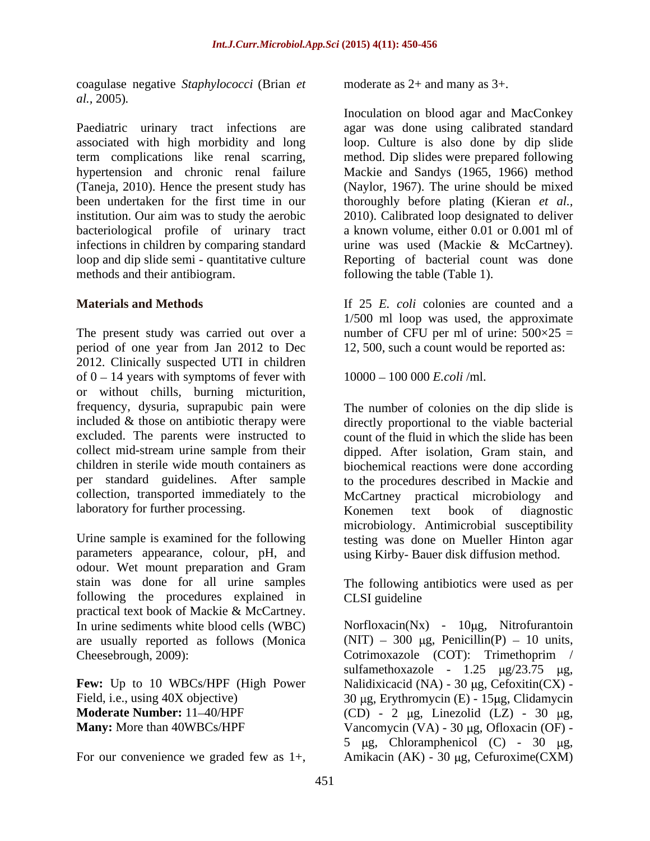coagulase negative *Staphylococci* (Brian *et al.,* 2005)*.*

Paediatric urinary tract infections are associated with high morbidity and long term complications like renal scarring, hypertension and chronic renal failure Mackie and Sandys (1965, 1966) method (Taneja, 2010). Hence the present study has been undertaken for the first time in our thoroughly before plating (Kieran *et al.,* institution. Our aim was to study the aerobic 2010). Calibrated loop designated to deliver bacteriological profile of urinary tract infections in children by comparing standard loop and dip slide semi - quantitative culture Reporting of bacterial count was done methods and their antibiogram.

The present study was carried out over a mumber of CFU per ml of urine:  $500 \times 25 =$ period of one year from Jan 2012 to Dec 2012. Clinically suspected UTI in children of  $0 - 14$  years with symptoms of fever with or without chills, burning micturition, frequency, dysuria, suprapubic pain were The number of colonies on the dip slide is included & those on antibiotic therapy were directly proportional to the viable bacterial excluded. The parents were instructed to count of the fluid in which the slide has been collect mid-stream urine sample from their dipped. After isolation, Gram stain, and children in sterile wide mouth containers as biochemical reactions were done according per standard guidelines. After sample to the procedures described in Mackie and collection, transported immediately to the McCartney practical microbiology and laboratory for further processing. <br>
Konemen text book of diagnostic congulate spanies for our contents as 2+ and many as 3+.<br>
Facilitative winds in the simulation of boosthesis we graded few as 1+, model age as 1-and MacConlege spaces<br>
Expression with the interimental back was 1+1, model

Urine sample is examined for the following testing was done on Mueller Hinton agar parameters appearance, colour, pH, and odour. Wet mount preparation and Gram stain was done for all urine samples The following antibiotics were used as per following the procedures explained in practical text book of Mackie & McCartney.

Inoculation on blood agar and MacConkey agar was done using calibrated standard loop. Culture is also done by dip slide method. Dip slides were prepared following (Naylor, 1967). The urine should be mixed a known volume, either 0.01 or 0.001 ml of urine was used (Mackie & McCartney). following the table (Table 1).

**Materials and Methods** If 25 *E. coli* colonies are counted and a 1/500 ml loop was used, the approximate 12, 500, such a count would be reported as:

10000 100 000 *E.coli* /ml.

McCartney practical microbiology Konemen text book of diagnostic microbiology. Antimicrobial susceptibility using Kirby- Bauer disk diffusion method.

CLSI guideline

In urine sediments white blood cells (WBC) Morfloxacin(Nx) - 10µg, Nitrofurantoin are usually reported as follows (Monica  $(NIT) - 300 \mu g$ , Penicillin(P) - 10 units, Cheesebrough, 2009): Cotrimoxazole (COT): Trimethoprim / **Few:** Up to 10 WBCs/HPF (High Power Nalidixicacid (NA) - 30 µg, Cefoxitin(CX) -Field, i.e., using  $40X$  objective) 30 µg, Erythromycin (E) - 15µg, Clidamycin **Moderate Number:** 11–40/HPF (CD) - 2 μg, Linezolid (LZ) - 30 μg, **Many:** More than 40WBCs/HPF Vancomycin (VA) - 30 μg, Ofloxacin (OF) sulfamethoxazole -  $1.25 \mu g/23.75 \mu g$ , 5  $\mu$ g, Chloramphenicol (C) - 30  $\mu$ g, Amikacin  $(AK)$  - 30 µg, Cefuroxime(CXM)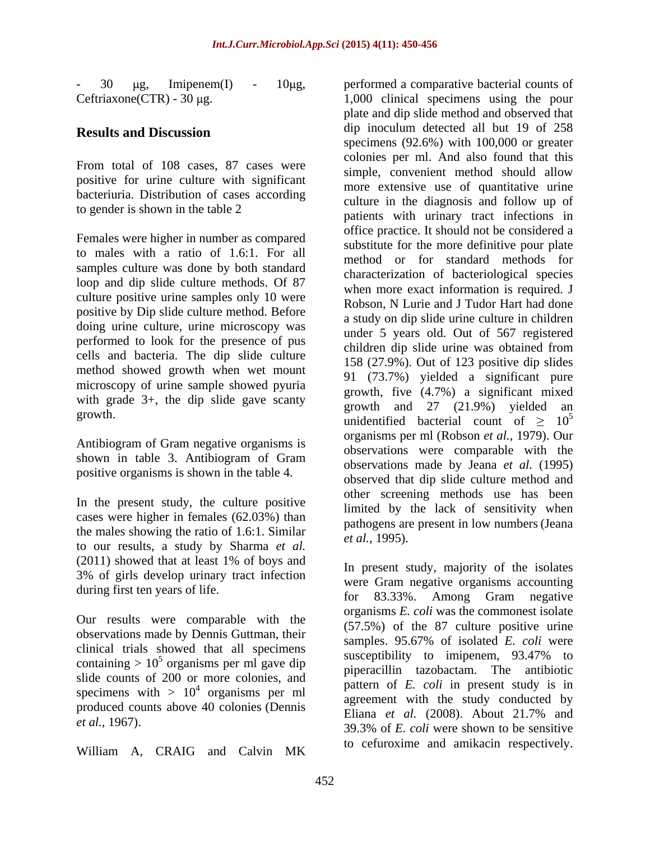- 30 μg, Imipenem(I) - 10μg, performed a comparative bacterial counts of

From total of 108 cases, 87 cases were positive for urine culture with significant bacteriuria. Distribution of cases according to gender is shown in the table 2

Females were higher in number as compared to males with a ratio of 1.6:1. For all samples culture was done by both standard loop and dip slide culture methods. Of 87 culture positive urine samples only 10 were positive by Dip slide culture method. Before doing urine culture, urine microscopy was performed to look for the presence of pus cells and bacteria. The dip slide culture method showed growth when wet mount microscopy of urine sample showed pyuria with grade 3+, the dip slide gave scanty<br>growth and 27 (21.9%) vielded an

Antibiogram of Gram negative organisms is shown in table 3. Antibiogram of Gram positive organisms is shown in the table 4.

In the present study, the culture positive cases were higher in females (62.03%) than the males showing the ratio of 1.6:1. Similar to our results, a study by Sharma *et al.* (2011) showed that at least 1% of boys and 3% of girls develop urinary tract infection

Our results were comparable with the observations made by Dennis Guttman, their clinical trials showed that all specimens containing >  $10^5$  organisms per ml gave dip slide counts of 200 or more colonies, and specimens with  $> 10<sup>4</sup>$  organisms per ml produced counts above 40 colonies (Dennis and Eliana *et al.* (2008). About 21.7% and

William A, CRAIG and Calvin MK

 $Ceftriaxone (CTR) - 30 \mu g.$  1,000 clinical specimens using the pour **Results and Discussion a** dip inoculum detected all but 19 of 258 growth.<br>
unidentified bacterial count of  $\geq 10^5$ plate and dip slide method and observed that dip inoculum detected all but 19 of 258 specimens (92.6%) with 100,000 or greater colonies per ml. And also found that this simple, convenient method should allow more extensive use of quantitative urine culture in the diagnosis and follow up of patients with urinary tract infections in office practice. It should not be considered a substitute for the more definitive pour plate method or for standard methods for characterization of bacteriological species when more exact information is required. J Robson, N Lurie and J Tudor Hart had done a study on dip slide urine culture in children under 5 years old. Out of 567 registered children dip slide urine was obtained from 158 (27.9%). Out of 123 positive dip slides 91 (73.7%) yielded a significant pure growth, five (4.7%) a significant mixed growth and  $27$   $(21.9\%)$  yielded 5 organisms per ml (Robson *et al.,* 1979). Our observations were comparable with the observations made by Jeana *et al.* (1995) observed that dip slide culture method and other screening methods use has been limited by the lack of sensitivity when pathogens are present in low numbers(Jeana *et al.,* 1995).

during first ten years of life.<br>
for 83.33%. Among Gram negative susceptibility to imipenem, 93.47% to organisms per ml gave dip piperacillin tazobactam. The antibiotic  $^{4}$  organisms par ml pattern of *E. coli* in present study is in organisms per ml agreement with the study conducted by *et al.,* 1967). 39.3% of *E. coli* were shown to be sensitive In present study, majority of the isolates were Gram negative organisms accounting organisms *E. coli* was the commonest isolate (57.5%) of the 87 culture positive urine samples. 95.67% of isolated *E. coli* were susceptibility to imipenem, 93.47% to Eliana *et al.* (2008). About 21.7% and to cefuroxime and amikacin respectively.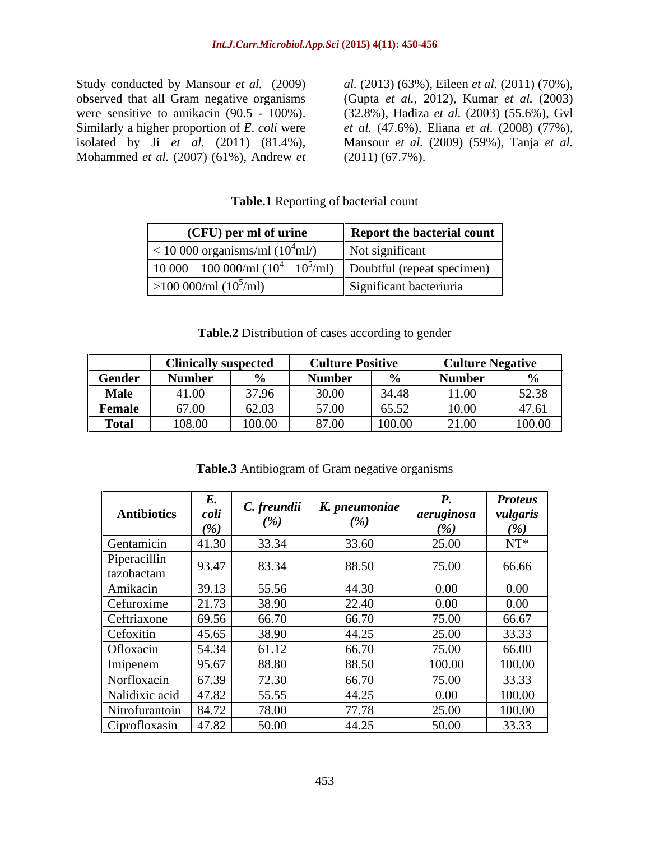Study conducted by Mansour *et al.* (2009) *al.* (2013) (63%), Eileen *et al.* (2011) (70%), observed that all Gram negative organisms (Gupta *et al.,* 2012), Kumar *et al.* (2003) were sensitive to amikacin (90.5 - 100%). (32.8%), Hadiza *et al.* (2003) (55.6%), Gvl Similarly a higher proportion of *E. coli* were *et al.* (47.6%), Eliana *et al.* (2008) (77%), isolated by Ji *et al.* (2011) (81.4%), Mohammed *et al.* (2007) (61%), Andrew *et* 

*et al.* (47.6%), Eliana *et al.* (2008) (77%), Mansour *et al.* (2009) (59%), Tanja *et al.* (2011) (67.7%).

### **Table.1** Reporting of bacterial count

| (CFU) per ml of urine                                                | <b>Report the bacterial count</b> |
|----------------------------------------------------------------------|-----------------------------------|
| $<$ 10 000 organisms/ml (10 <sup>4</sup> ml/)                        | Not significant                   |
| 10 000 – 100 000/ml $(10^4 - 10^3$ /ml)   Doubtful (repeat specimen) |                                   |
| >100~000/ml~(10 <sup>5</sup> /ml)                                    | Significant bacteriuria           |

### **Table.2** Distribution of cases according to gender

| Clinically suspected Culture Positive Culture Negative                                                                                           |  |  |  |
|--------------------------------------------------------------------------------------------------------------------------------------------------|--|--|--|
| Gender   Number   %   Number   %   Number                                                                                                        |  |  |  |
|                                                                                                                                                  |  |  |  |
|                                                                                                                                                  |  |  |  |
| 11.00 37.96 30.00 34.48 11.00 52.38<br><b>Female</b> 67.00 62.03 57.00 65.52 10.00 47.61<br><b>Total</b> 108.00 100.00 87.00 100.00 21.00 100.00 |  |  |  |

**Table.3** Antibiogram of Gram negative organisms

|                          | L.     | C. freundii | $\mid K.$ pneumoniae $\mid$ | <i>r</i> . | <b>Proteus</b> |
|--------------------------|--------|-------------|-----------------------------|------------|----------------|
| <b>Antibiotics</b>       | coli   | (%)         | (%)                         | aeruginosa | vulgaris       |
|                          | $(\%)$ |             |                             | (%)        | (0/2)          |
| Gentamicin               | 41.30  | 33.34       | 33.60                       | 25.00      | $NT^*$         |
| Piperacillin             | 93.47  | 83.34       | 88.50                       | 75.00      | 66.66          |
| tazobactam               |        |             |                             |            |                |
| Amikacin                 | 39.13  | 55.56       | 44.30                       | $0.00\,$   | $0.00\,$       |
| Cefuroxime               | 21.73  | 38.90       | 22.40                       | $0.00\,$   | $0.00\,$       |
| Ceftriaxone              | 69.56  | 66.70       | 66.70                       | 75.00      | 66.67          |
| Cefoxitin                | 45.65  | 38.90       | 44.25                       | 25.00      | 33.33          |
| Ofloxacin                | 54.34  | 61.12       | 66.70                       | 75.00      | 66.00          |
| Imipenem                 | 95.67  | 88.80       | 88.50                       | 100.00     | 100.00         |
| Norfloxacin              | 67.39  | 72.30       | 66.70                       | 75.00      | 33.33          |
| Nalidixic acid           | 47.82  | 55.55       | 44.25                       | $0.00\,$   | 100.00         |
| Nitrofurantoin   $84.72$ |        | 78.00       | 77.78                       | 25.00      | 100.00         |
| Ciprofloxasin            | 47.82  | 50.00       | 44.25                       | 50.00      | 33.33          |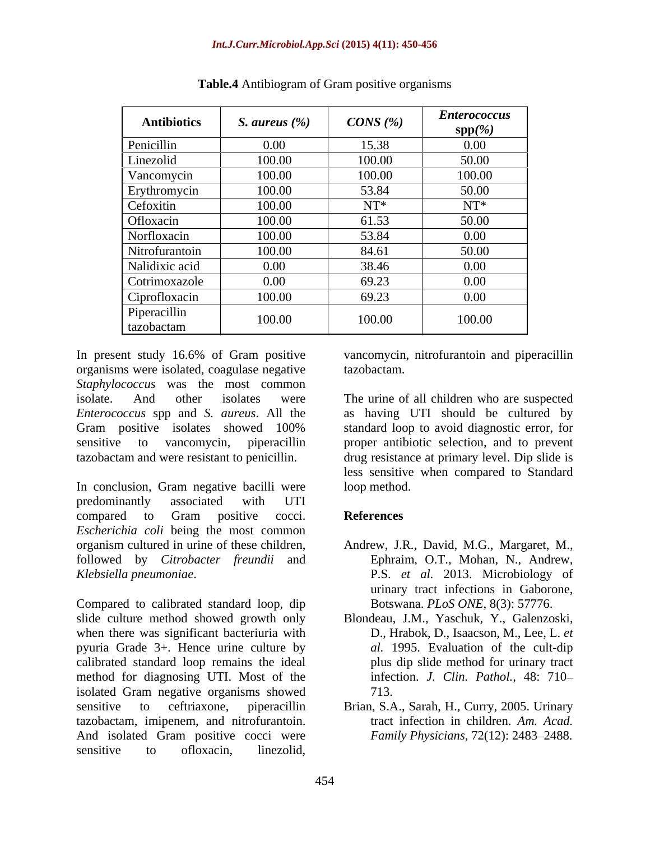| <b>Antibiotics</b> | S. aureus $(\%)$ | CONS(%) | <b>Enterococcus</b><br>$\text{spp}(\%)$ |
|--------------------|------------------|---------|-----------------------------------------|
| Penicillin         | $0.00\,$         | 15.38   | $0.00\,$                                |
| Linezolid          | 100.00           | 100.00  | 50.00                                   |
| Vancomycin         | 100.00           | 100.00  | 100.00                                  |
| Erythromycin       | 100.00           | 53.84   | 50.00                                   |
| Cefoxitin          | 100.00           | $NT^*$  | $NT^*$                                  |
| Ofloxacin          | 100.00           | 61.53   | 50.00                                   |
| Norfloxacin        | 100.00           | 53.84   | $0.00\,$                                |
| Nitrofurantoin     | 100.00           | 84.61   | 50.00                                   |
| Nalidixic acid     | $0.00\,$         | 38.46   | $0.00\,$                                |
| Cotrimoxazole      | $0.00\,$         | 69.23   | $0.00\,$                                |
| Ciprofloxacin      | 100.00           | 69.23   | $0.00\,$                                |
| Piperacillin       | 100.00           | 100.00  | 100.00                                  |
| tazobactam         |                  |         |                                         |

**Table.4** Antibiogram of Gram positive organisms

In present study 16.6% of Gram positive vancomycin, nitrofurantoin and piperacillin organisms were isolated, coagulase negative *Staphylococcus* was the most common isolate. And other isolates were The urine of all children who are suspected *Enterococcus* spp and *S. aureus*. All the as having UTI should be cultured by Gram positive isolates showed 100% standard loop to avoid diagnostic error, for sensitive to vancomycin, piperacillin proper antibiotic selection, and to prevent tazobactam and were resistant to penicillin. drug resistance at primary level. Dip slide is

In conclusion, Gram negative bacilli were loop method. predominantly associated with UTI compared to Gram positive cocci. References *Escherichia coli* being the most common organism cultured in urine of these children, followed by *Citrobacter freundii* and *Klebsiella pneumoniae*. P.S. *et al.* 2013. Microbiology of

Compared to calibrated standard loop, dip slide culture method showed growth only Blondeau, J.M., Yaschuk, Y., Galenzoski, when there was significant bacteriuria with pyuria Grade 3+. Hence urine culture by calibrated standard loop remains the ideal method for diagnosing UTI. Most of the isolated Gram negative organisms showed  $713$ . sensitive to ceftriaxone, piperacillin Brian, S.A., Sarah, H., Curry, 2005. Urinary tazobactam, imipenem, and nitrofurantoin. And isolated Gram positive cocci were In present study 16.6% of Gram positive vancomycin, nitrofurantoin and piperacillin<br>
organisms were isolated, cougulase negative tarzobactam.<br>
Staphylococcas van do the installation continuous of Fine in the state of all

tazobactam.

standard loop to avoid diagnostic error, for less sensitive when compared to Standard loop method.

## **References**

- Andrew, J.R., David, M.G., Margaret, M., Ephraim, O.T., Mohan, N., Andrew, urinary tract infections in Gaborone, Botswana. *PLoS ONE,* 8(3): 57776.
- D., Hrabok, D., Isaacson, M., Lee, L. *et al.* 1995. Evaluation of the cult-dip plus dip slide method for urinary tract infection. *J. Clin. Pathol.,* 48: 710 713.
- tract infection in children. *Am. Acad. Family Physicians,* 72(12): 2483-2488.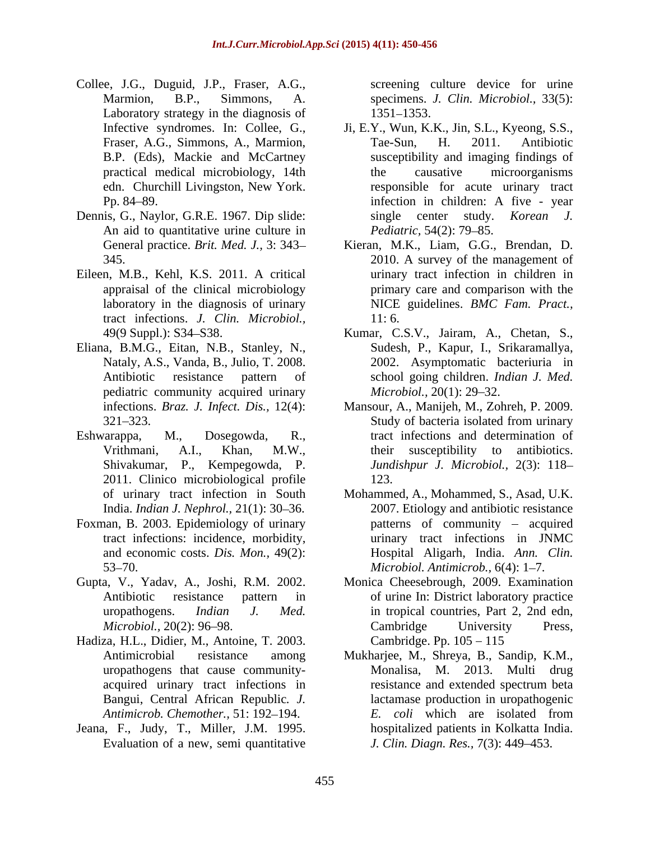- Collee, J.G., Duguid, J.P., Fraser, A.G., Laboratory strategy in the diagnosis of 1351–1353.
- Dennis, G., Naylor, G.R.E. 1967. Dip slide: An aid to quantitative urine culture in Pediatric, 54(2): 79–85.
- Eileen, M.B., Kehl, K.S. 2011. A critical appraisal of the clinical microbiology tract infections. *J. Clin. Microbiol.,*
- Eliana, B.M.G., Eitan, N.B., Stanley, N., pediatric community acquired urinary *Microbiol.*, 20(1): 29–32.
- 2011. Clinico microbiological profile 123.
- Foxman, B. 2003. Epidemiology of urinary
- 
- Hadiza, H.L., Didier, M., Antoine, T. 2003. Antimicrobial resistance among Mukharjee, M., Shreya, B., Sandip, K.M., Bangui, Central African Republic*. J.*
- Jeana, F., Judy, T., Miller, J.M. 1995. Evaluation of a new, semi quantitative

Marmion, B.P., Simmons, A. specimens. *J. Clin. Microbiol.*, 33(5): screening culture device for urine 1351 1353.

- Infective syndromes. In: Collee, G., Ji, E.Y., Wun, K.K., Jin, S.L., Kyeong, S.S., Fraser, A.G., Simmons, A., Marmion, Tae-Sun, H. 2011. Antibiotic B.P. (Eds), Mackie and McCartney susceptibility and imaging findings of practical medical microbiology, 14th edn. Churchill Livingston, New York. responsible for acute urinary tract Pp. 84–89. The extended in children: A five - year Tae-Sun, H. 2011. Antibiotic the causative microorganisms single center study. *Korean J. Pediatric,* 54(2): 79–85.
- General practice. *Brit. Med. J.,* 3: 343 Kieran, M.K., Liam, G.G., Brendan, D. 345. 2010. A survey of the management of laboratory in the diagnosis of urinary NICE guidelines. *BMC Fam. Pract.,* urinary tract infection in children in primary care and comparison with the 11: 6.
- 49(9 Suppl.): S34 S38. Kumar, C.S.V., Jairam, A., Chetan, S., Nataly, A.S., Vanda, B., Julio, T. 2008. 2002. Asymptomatic bacteriuria in Antibiotic resistance pattern of school going children. *Indian J. Med.* Sudesh, P., Kapur, I., Srikaramallya, *Microbiol.,* 20(1): 29–32.
- infections. *Braz. J. Infect. Dis.,* 12(4): Mansour, A., Manijeh, M., Zohreh, P. 2009. 321–323. Study of bacteria isolated from urinary Eshwarappa, M., Dosegowda, R., tract infections and determination of Vrithmani, A.I., Khan, M.W., Shivakumar, P., Kempegowda, P. *Jundishpur J. Microbiol.,* 2(3): 118 Study of bacteria isolated from urinary their susceptibility to antibiotics.123.
	- of urinary tract infection in South Mohammed, A., Mohammed, S., Asad, U.K. India. *Indian J. Nephrol.*, 21(1): 30–36. 2007. Etiology and antibiotic resistance tract infections: incidence, morbidity, urinary tract infections in JNMC and economic costs. *Dis. Mon.,* 49(2): Hospital Aligarh, India. *Ann. Clin.* 53–70. *Microbiol. Antimicrob.*, 6(4): 1–7. patterns of community – acquired
- Gupta, V., Yadav, A., Joshi, R.M. 2002. Monica Cheesebrough, 2009. Examination Antibiotic resistance pattern in of urine In: District laboratory practice uropathogens. *Indian J. Med.* in tropical countries, Part 2, 2nd edn, *Microbiol.,* 20(2): 96–98. Cambridge University Press, Cambridge University Press, Cambridge. Pp.  $105 - 115$ 
	- uropathogens that cause community acquired urinary tract infections in resistance and extended spectrum beta *Antimicrob. Chemother.,* 51: 192–194. *E. coli* which are isolated from Mukharjee, M., Shreya, B., Sandip, K.M., Monalisa, M. 2013. Multi drug resistance and extended spectrum beta lactamase production in uropathogenic *E. coli* which are isolated from hospitalized patients in Kolkatta India. *J. Clin. Diagn. Res.,* 7(3): 449 453.